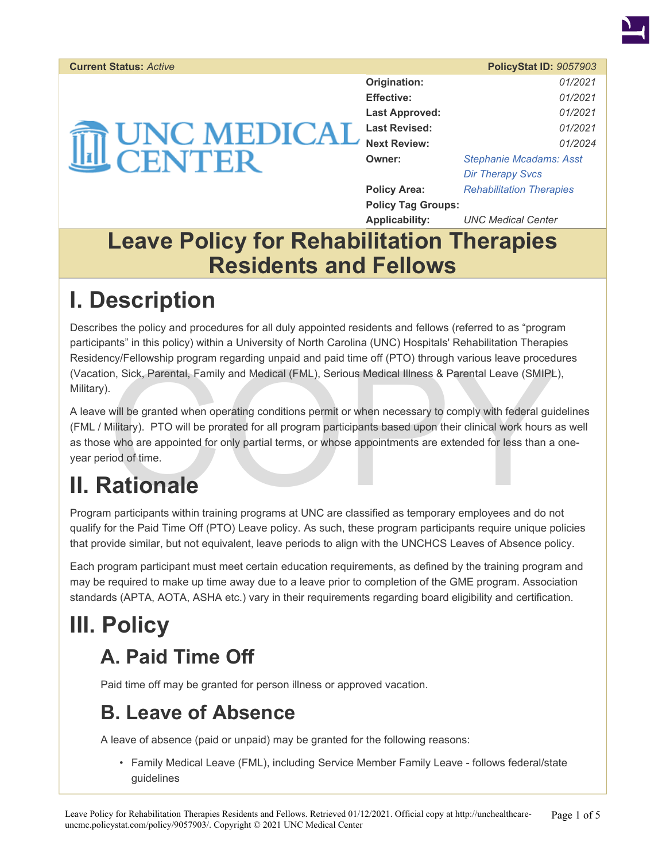

#### **Current Status:** *Active* **PolicyStat ID:** *9057903*

|                        | Origination:              | 01/2021                         |
|------------------------|---------------------------|---------------------------------|
|                        | <b>Effective:</b>         | 01/2021                         |
|                        | <b>Last Approved:</b>     | 01/2021                         |
| <b>UNC MEDICAL</b>     | <b>Last Revised:</b>      | 01/2021                         |
| $\widehat{\textbf{H}}$ | <b>Next Review:</b>       | 01/2024                         |
| <b>CENTER</b>          | Owner:                    | <b>Stephanie Mcadams: Asst</b>  |
|                        |                           | <b>Dir Therapy Svcs</b>         |
|                        | <b>Policy Area:</b>       | <b>Rehabilitation Therapies</b> |
|                        | <b>Policy Tag Groups:</b> |                                 |
|                        | <b>Applicability:</b>     | <b>UNC Medical Center</b>       |

#### **Leave Policy for Rehabilitation Therapies Residents and Fellows**

## **I. Description**

Describes the policy and procedures for all duly appointed residents and fellows (referred to as "program participants" in this policy) within a University of North Carolina (UNC) Hospitals' Rehabilitation Therapies Residency/Fellowship program regarding unpaid and paid time off (PTO) through various leave procedures (Vacation, Sick, Parental, Family and Medical (FML), Serious Medical Illness & Parental Leave (SMIPL), Military).

represents and paid and paid time of (PTO) through various leave procedure.<br>In, Sick, Parental, Family and Medical (FML), Serious Medical Illness & Parental Leave (SMIPL<br>And the granted when operating conditions permit or A leave will be granted when operating conditions permit or when necessary to comply with federal guidelines (FML / Military). PTO will be prorated for all program participants based upon their clinical work hours as well as those who are appointed for only partial terms, or whose appointments are extended for less than a oneyear period of time.

## **II. Rationale**

Program participants within training programs at UNC are classified as temporary employees and do not qualify for the Paid Time Off (PTO) Leave policy. As such, these program participants require unique policies that provide similar, but not equivalent, leave periods to align with the UNCHCS Leaves of Absence policy.

Each program participant must meet certain education requirements, as defined by the training program and may be required to make up time away due to a leave prior to completion of the GME program. Association standards (APTA, AOTA, ASHA etc.) vary in their requirements regarding board eligibility and certification.

# **III. Policy**

#### **A. Paid Time Off**

Paid time off may be granted for person illness or approved vacation.

#### **B. Leave of Absence**

A leave of absence (paid or unpaid) may be granted for the following reasons:

• Family Medical Leave (FML), including Service Member Family Leave - follows federal/state guidelines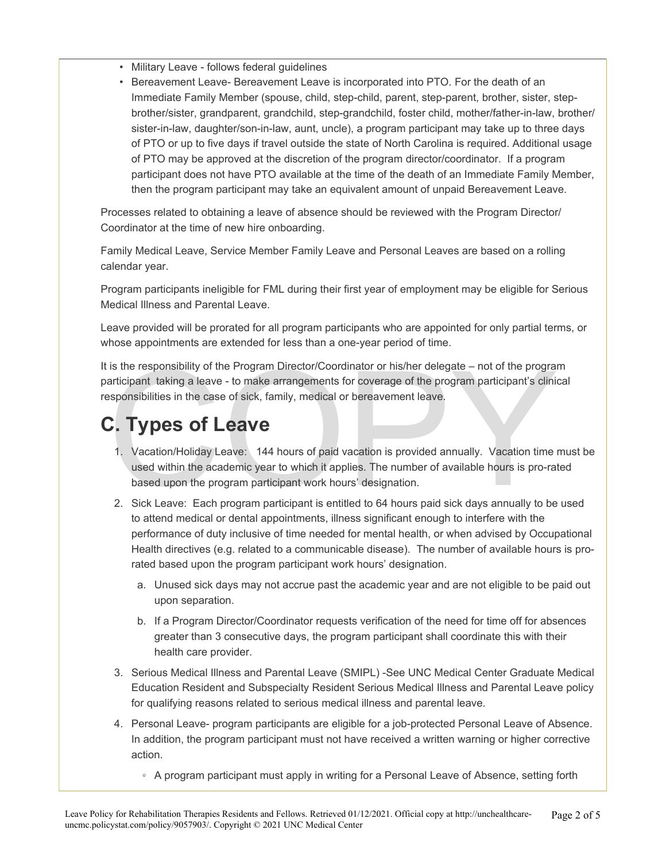- Military Leave follows federal guidelines
- Bereavement Leave- Bereavement Leave is incorporated into PTO. For the death of an Immediate Family Member (spouse, child, step-child, parent, step-parent, brother, sister, stepbrother/sister, grandparent, grandchild, step-grandchild, foster child, mother/father-in-law, brother/ sister-in-law, daughter/son-in-law, aunt, uncle), a program participant may take up to three days of PTO or up to five days if travel outside the state of North Carolina is required. Additional usage of PTO may be approved at the discretion of the program director/coordinator. If a program participant does not have PTO available at the time of the death of an Immediate Family Member, then the program participant may take an equivalent amount of unpaid Bereavement Leave.

Processes related to obtaining a leave of absence should be reviewed with the Program Director/ Coordinator at the time of new hire onboarding.

Family Medical Leave, Service Member Family Leave and Personal Leaves are based on a rolling calendar year.

Program participants ineligible for FML during their first year of employment may be eligible for Serious Medical Illness and Parental Leave.

Leave provided will be prorated for all program participants who are appointed for only partial terms, or whose appointments are extended for less than a one-year period of time.

is the responsibility of the Program Director/Coordinator or his/her delegate – not of the program<br>articipant taking a leave - to make arrangements for coverage of the program participant's clini<br>esponsibilities in the cas It is the responsibility of the Program Director/Coordinator or his/her delegate – not of the program participant taking a leave - to make arrangements for coverage of the program participant's clinical responsibilities in the case of sick, family, medical or bereavement leave.

### **C. Types of Leave**

- 1. Vacation/Holiday Leave: 144 hours of paid vacation is provided annually. Vacation time must be used within the academic year to which it applies. The number of available hours is pro-rated based upon the program participant work hours' designation.
- 2. Sick Leave: Each program participant is entitled to 64 hours paid sick days annually to be used to attend medical or dental appointments, illness significant enough to interfere with the performance of duty inclusive of time needed for mental health, or when advised by Occupational Health directives (e.g. related to a communicable disease). The number of available hours is prorated based upon the program participant work hours' designation.
	- a. Unused sick days may not accrue past the academic year and are not eligible to be paid out upon separation.
	- b. If a Program Director/Coordinator requests verification of the need for time off for absences greater than 3 consecutive days, the program participant shall coordinate this with their health care provider.
- 3. Serious Medical Illness and Parental Leave (SMIPL) -See UNC Medical Center Graduate Medical Education Resident and Subspecialty Resident Serious Medical Illness and Parental Leave policy for qualifying reasons related to serious medical illness and parental leave.
- 4. Personal Leave- program participants are eligible for a job-protected Personal Leave of Absence. In addition, the program participant must not have received a written warning or higher corrective action.
	- A program participant must apply in writing for a Personal Leave of Absence, setting forth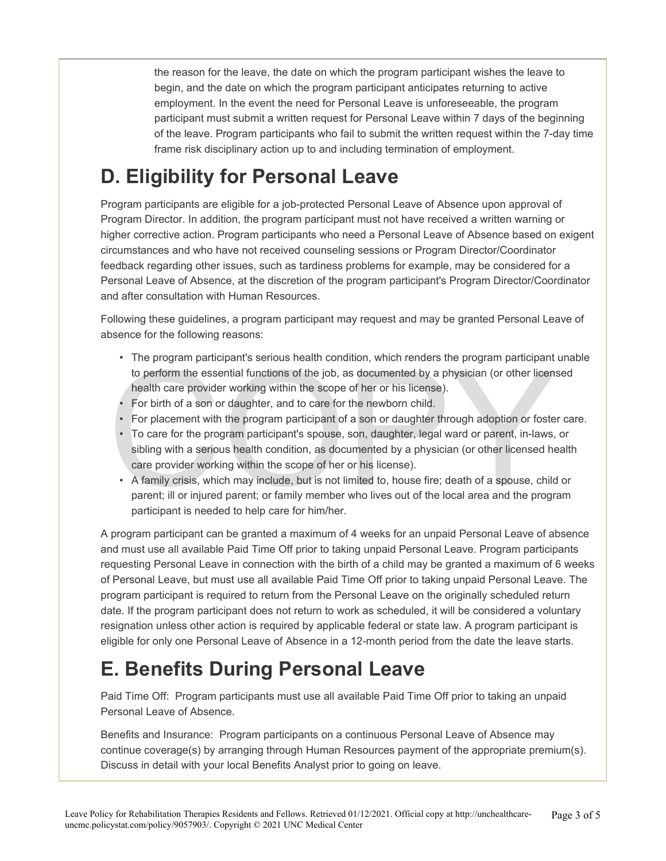the reason for the leave, the date on which the program participant wishes the leave to begin, and the date on which the program participant anticipates returning to active employment. In the event the need for Personal Leave is unforeseeable, the program participant must submit a written request for Personal Leave within 7 days of the beginning of the leave. Program participants who fail to submit the written request within the 7-day time frame risk disciplinary action up to and including termination of employment.

#### **D. Eligibility for Personal Leave**

Program participants are eligible for a job-protected Personal Leave of Absence upon approval of Program Director. In addition, the program participant must not have received a written warning or higher corrective action. Program participants who need a Personal Leave of Absence based on exigent circumstances and who have not received counseling sessions or Program Director/Coordinator feedback regarding other issues, such as tardiness problems for example, may be considered for a Personal Leave of Absence, at the discretion of the program participant's Program Director/Coordinator and after consultation with Human Resources.

Following these guidelines, a program participant may request and may be granted Personal Leave of absence for the following reasons:

- The program participant's serious health condition, which renders the program participant unable to perform the essential functions of the job, as documented by a physician (or other licensed health care provider working within the scope of her or his license).
- For birth of a son or daughter, and to care for the newborn child.
- For placement with the program participant of a son or daughter through adoption or foster care.
- The program participant is senous neature condition, which reinders the program participant<br>to perform the essential functions of the job, as documented by a physician (or other licens<br>health care provider working within • To care for the program participant's spouse, son, daughter, legal ward or parent, in-laws, or sibling with a serious health condition, as documented by a physician (or other licensed health care provider working within the scope of her or his license).
	- A family crisis, which may include, but is not limited to, house fire; death of a spouse, child or parent; ill or injured parent; or family member who lives out of the local area and the program participant is needed to help care for him/her.

A program participant can be granted a maximum of 4 weeks for an unpaid Personal Leave of absence and must use all available Paid Time Off prior to taking unpaid Personal Leave. Program participants requesting Personal Leave in connection with the birth of a child may be granted a maximum of 6 weeks of Personal Leave, but must use all available Paid Time Off prior to taking unpaid Personal Leave. The program participant is required to return from the Personal Leave on the originally scheduled return date. If the program participant does not return to work as scheduled, it will be considered a voluntary resignation unless other action is required by applicable federal or state law. A program participant is eligible for only one Personal Leave of Absence in a 12-month period from the date the leave starts.

#### **E. Benefits During Personal Leave**

Paid Time Off: Program participants must use all available Paid Time Off prior to taking an unpaid Personal Leave of Absence.

Benefits and Insurance: Program participants on a continuous Personal Leave of Absence may continue coverage(s) by arranging through Human Resources payment of the appropriate premium(s). Discuss in detail with your local Benefits Analyst prior to going on leave.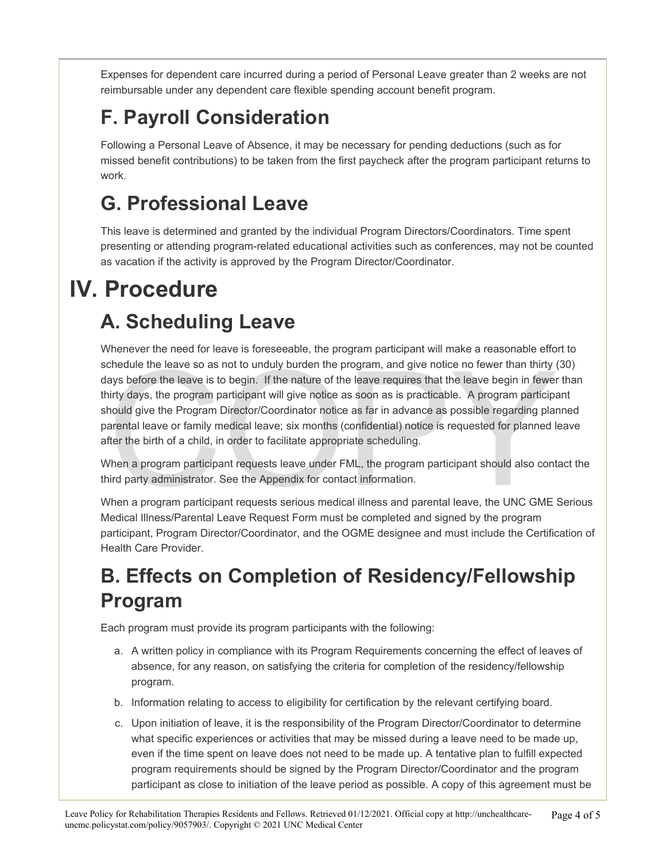Expenses for dependent care incurred during a period of Personal Leave greater than 2 weeks are not reimbursable under any dependent care flexible spending account benefit program.

### **F. Payroll Consideration**

Following a Personal Leave of Absence, it may be necessary for pending deductions (such as for missed benefit contributions) to be taken from the first paycheck after the program participant returns to work.

#### **G. Professional Leave**

This leave is determined and granted by the individual Program Directors/Coordinators. Time spent presenting or attending program-related educational activities such as conferences, may not be counted as vacation if the activity is approved by the Program Director/Coordinator.

# **IV. Procedure**

#### **A. Scheduling Leave**

chedule the leave so as not to unduly burden the program, and give notice no fewer than thirty ays before the leave is to begin. If the nature of the leave requires that the leave begin in fewer<br>sirty days, the program par Whenever the need for leave is foreseeable, the program participant will make a reasonable effort to schedule the leave so as not to unduly burden the program, and give notice no fewer than thirty (30) days before the leave is to begin. If the nature of the leave requires that the leave begin in fewer than thirty days, the program participant will give notice as soon as is practicable. A program participant should give the Program Director/Coordinator notice as far in advance as possible regarding planned parental leave or family medical leave; six months (confidential) notice is requested for planned leave after the birth of a child, in order to facilitate appropriate scheduling.

When a program participant requests leave under FML, the program participant should also contact the third party administrator. See the Appendix for contact information.

When a program participant requests serious medical illness and parental leave, the UNC GME Serious Medical Illness/Parental Leave Request Form must be completed and signed by the program participant, Program Director/Coordinator, and the OGME designee and must include the Certification of Health Care Provider.

#### **B. Effects on Completion of Residency/Fellowship Program**

Each program must provide its program participants with the following:

- a. A written policy in compliance with its Program Requirements concerning the effect of leaves of absence, for any reason, on satisfying the criteria for completion of the residency/fellowship program.
- b. Information relating to access to eligibility for certification by the relevant certifying board.
- c. Upon initiation of leave, it is the responsibility of the Program Director/Coordinator to determine what specific experiences or activities that may be missed during a leave need to be made up, even if the time spent on leave does not need to be made up. A tentative plan to fulfill expected program requirements should be signed by the Program Director/Coordinator and the program participant as close to initiation of the leave period as possible. A copy of this agreement must be